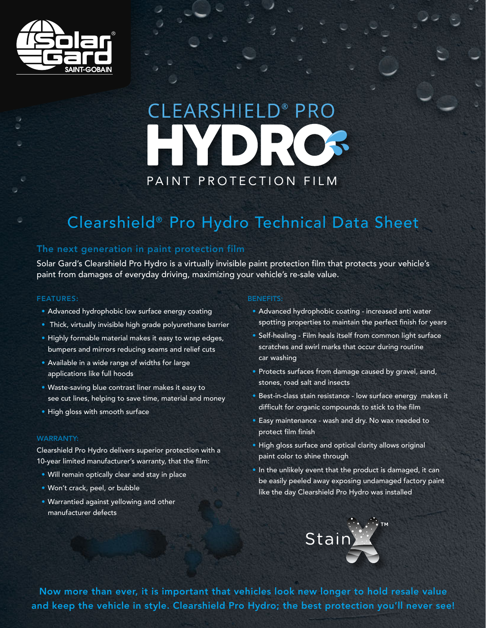

# CLEARSHIELD<sup>®</sup> PRO HYDR PAINT PROTECTION FILM

### Clearshield® Pro Hydro Technical Data Sheet

## The next generation in paint protection film

Solar Gard's Clearshield Pro Hydro is a virtually invisible paint protection film that protects your vehicle's paint from damages of everyday driving, maximizing your vehicle's re-sale value.

#### FEATURES:

- Advanced hydrophobic low surface energy coating
- Thick, virtually invisible high grade polyurethane barrier
- Highly formable material makes it easy to wrap edges, bumpers and mirrors reducing seams and relief cuts
- Available in a wide range of widths for large applications like full hoods
- Waste-saving blue contrast liner makes it easy to see cut lines, helping to save time, material and money
- High gloss with smooth surface

#### WARRANTY:

Clearshield Pro Hydro delivers superior protection with a 10-year limited manufacturer's warranty, that the film:

and keep the vehicle in style. Clearshield Pro Hydro; the best protection you'll never see!

- Will remain optically clear and stay in place
- Won't crack, peel, or bubble
- Warrantied against yellowing and other manufacturer defects

#### BENEFITS:

- Advanced hydrophobic coating increased anti water spotting properties to maintain the perfect finish for years
- Self-healing Film heals itself from common light surface scratches and swirl marks that occur during routine car washing
- Protects surfaces from damage caused by gravel, sand, stones, road salt and insects
- Best-in-class stain resistance low surface energy makes it difficult for organic compounds to stick to the film
- Easy maintenance wash and dry. No wax needed to protect film finish
- High gloss surface and optical clarity allows original paint color to shine through
- In the unlikely event that the product is damaged, it can be easily peeled away exposing undamaged factory paint like the day Clearshield Pro Hydro was installed



Now more than ever, it is important that vehicles look new longer to hold resale value and keep the vehicle in style. Clearshield Pro Hydro; the best protection you'll never see!